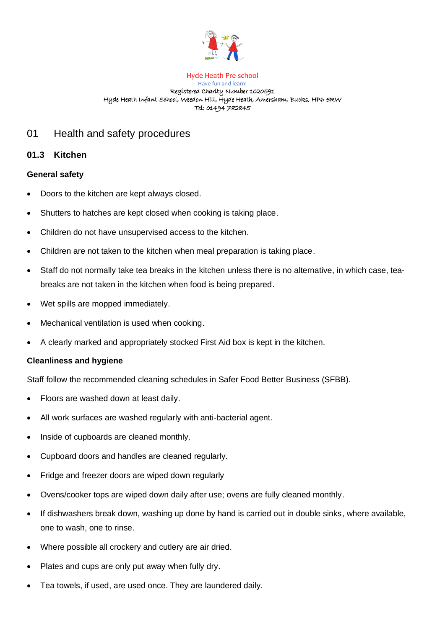

#### Hyde Heath Pre-school Have fun and learn! Registered Charity Number 1020591 Hyde Heath Infant School, Weedon Hill, Hyde Heath, Amersham, Bucks, HP6 5RW Tel: 01494 782845

# 01 Health and safety procedures

## **01.3 Kitchen**

### **General safety**

- Doors to the kitchen are kept always closed.
- Shutters to hatches are kept closed when cooking is taking place.
- Children do not have unsupervised access to the kitchen.
- Children are not taken to the kitchen when meal preparation is taking place.
- Staff do not normally take tea breaks in the kitchen unless there is no alternative, in which case, teabreaks are not taken in the kitchen when food is being prepared.
- Wet spills are mopped immediately.
- Mechanical ventilation is used when cooking.
- A clearly marked and appropriately stocked First Aid box is kept in the kitchen.

#### **Cleanliness and hygiene**

Staff follow the recommended cleaning schedules in Safer Food Better Business (SFBB).

- Floors are washed down at least daily.
- All work surfaces are washed regularly with anti-bacterial agent.
- Inside of cupboards are cleaned monthly.
- Cupboard doors and handles are cleaned regularly.
- Fridge and freezer doors are wiped down regularly
- Ovens/cooker tops are wiped down daily after use; ovens are fully cleaned monthly.
- If dishwashers break down, washing up done by hand is carried out in double sinks, where available, one to wash, one to rinse.
- Where possible all crockery and cutlery are air dried.
- Plates and cups are only put away when fully dry.
- Tea towels, if used, are used once. They are laundered daily.